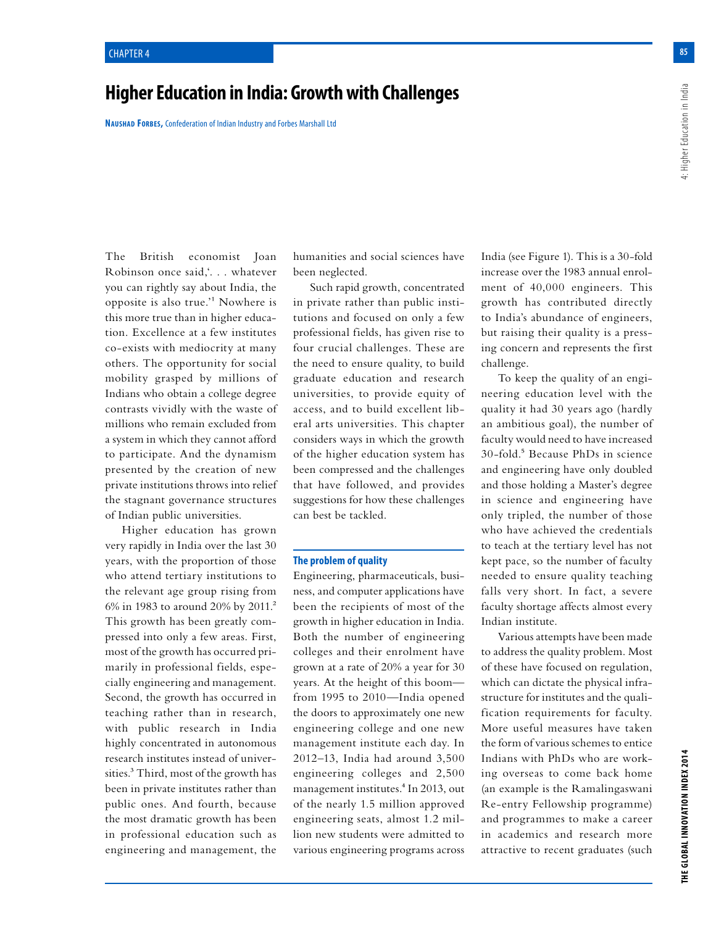# **Higher Education in India: Growth with Challenges**

**Naushad Forbes,** Confederation of Indian Industry and Forbes Marshall Ltd

The British economist Joan Robinson once said,'. . . whatever you can rightly say about India, the opposite is also true.'1 Nowhere is this more true than in higher education. Excellence at a few institutes co-exists with mediocrity at many others. The opportunity for social mobility grasped by millions of Indians who obtain a college degree contrasts vividly with the waste of millions who remain excluded from a system in which they cannot afford to participate. And the dynamism presented by the creation of new private institutions throws into relief the stagnant governance structures of Indian public universities.

Higher education has grown very rapidly in India over the last 30 years, with the proportion of those who attend tertiary institutions to the relevant age group rising from 6% in 1983 to around 20% by 2011.2 This growth has been greatly compressed into only a few areas. First, most of the growth has occurred primarily in professional fields, especially engineering and management. Second, the growth has occurred in teaching rather than in research, with public research in India highly concentrated in autonomous research institutes instead of universities.<sup>3</sup> Third, most of the growth has been in private institutes rather than public ones. And fourth, because the most dramatic growth has been in professional education such as engineering and management, the humanities and social sciences have been neglected.

Such rapid growth, concentrated in private rather than public institutions and focused on only a few professional fields, has given rise to four crucial challenges. These are the need to ensure quality, to build graduate education and research universities, to provide equity of access, and to build excellent liberal arts universities. This chapter considers ways in which the growth of the higher education system has been compressed and the challenges that have followed, and provides suggestions for how these challenges can best be tackled.

# **The problem of quality**

Engineering, pharmaceuticals, business, and computer applications have been the recipients of most of the growth in higher education in India. Both the number of engineering colleges and their enrolment have grown at a rate of 20% a year for 30 years. At the height of this boom from 1995 to 2010—India opened the doors to approximately one new engineering college and one new management institute each day. In 2012–13, India had around 3,500 engineering colleges and 2,500 management institutes.4 In 2013, out of the nearly 1.5 million approved engineering seats, almost 1.2 million new students were admitted to various engineering programs across

India (see Figure 1). This is a 30-fold increase over the 1983 annual enrolment of 40,000 engineers. This growth has contributed directly to India's abundance of engineers, but raising their quality is a pressing concern and represents the first challenge.

To keep the quality of an engineering education level with the quality it had 30 years ago (hardly an ambitious goal), the number of faculty would need to have increased 30-fold.5 Because PhDs in science and engineering have only doubled and those holding a Master's degree in science and engineering have only tripled, the number of those who have achieved the credentials to teach at the tertiary level has not kept pace, so the number of faculty needed to ensure quality teaching falls very short. In fact, a severe faculty shortage affects almost every Indian institute.

Various attempts have been made to address the quality problem. Most of these have focused on regulation, which can dictate the physical infrastructure for institutes and the qualification requirements for faculty. More useful measures have taken the form of various schemes to entice Indians with PhDs who are working overseas to come back home (an example is the Ramalingaswani Re-entry Fellowship programme) and programmes to make a career in academics and research more attractive to recent graduates (such **85**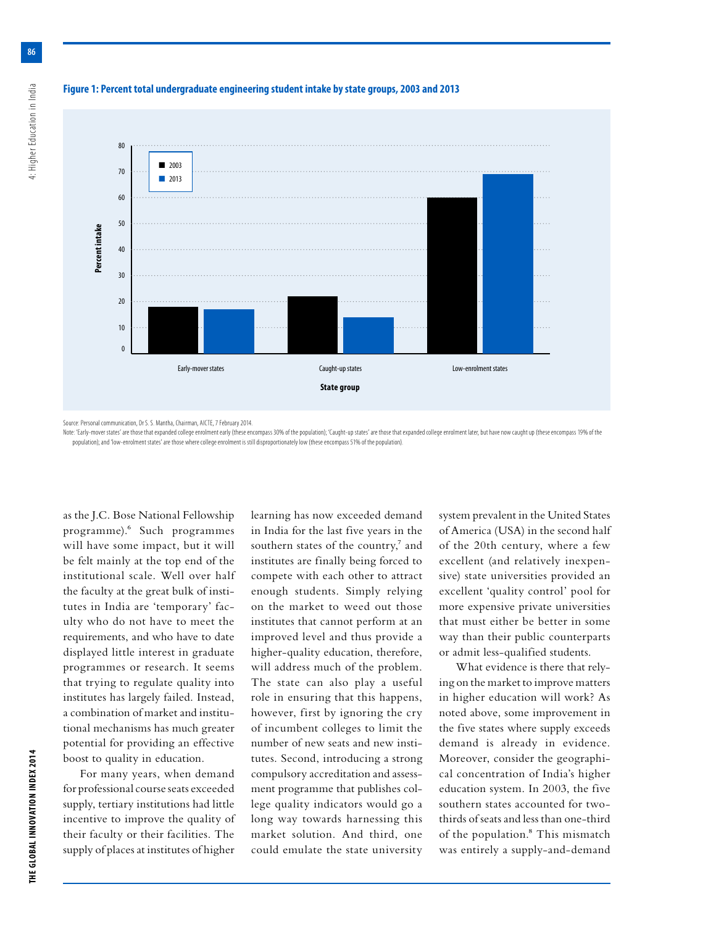

# **Figure 1: Percent total undergraduate engineering student intake by state groups, 2003 and 2013**

Source: Personal communication, Dr S. S. Mantha, Chairman, AICTE, 7 February 2014.

Note: 'Early-mover states' are those that expanded college enrolment early (these encompass 30% of the population); 'Caught-up states' are those that expanded college enrolment later, but have now caught up (these encompas population); and 'low-enrolment states' are those where college enrolment is still disproportionately low (these encompass 51% of the population).

as the J.C. Bose National Fellowship programme).6 Such programmes will have some impact, but it will be felt mainly at the top end of the institutional scale. Well over half the faculty at the great bulk of institutes in India are 'temporary' faculty who do not have to meet the requirements, and who have to date displayed little interest in graduate programmes or research. It seems that trying to regulate quality into institutes has largely failed. Instead, a combination of market and institutional mechanisms has much greater potential for providing an effective boost to quality in education.

For many years, when demand for professional course seats exceeded supply, tertiary institutions had little incentive to improve the quality of their faculty or their facilities. The supply of places at institutes of higher learning has now exceeded demand in India for the last five years in the southern states of the country,<sup>7</sup> and institutes are finally being forced to compete with each other to attract enough students. Simply relying on the market to weed out those institutes that cannot perform at an improved level and thus provide a higher-quality education, therefore, will address much of the problem. The state can also play a useful role in ensuring that this happens, however, first by ignoring the cry of incumbent colleges to limit the number of new seats and new institutes. Second, introducing a strong compulsory accreditation and assessment programme that publishes college quality indicators would go a long way towards harnessing this market solution. And third, one could emulate the state university system prevalent in the United States of America (USA) in the second half of the 20th century, where a few excellent (and relatively inexpensive) state universities provided an excellent 'quality control' pool for more expensive private universities that must either be better in some way than their public counterparts or admit less-qualified students.

What evidence is there that relying on the market to improve matters in higher education will work? As noted above, some improvement in the five states where supply exceeds demand is already in evidence. Moreover, consider the geographical concentration of India's higher education system. In 2003, the five southern states accounted for twothirds of seats and less than one-third of the population.8 This mismatch was entirely a supply-and-demand

**86**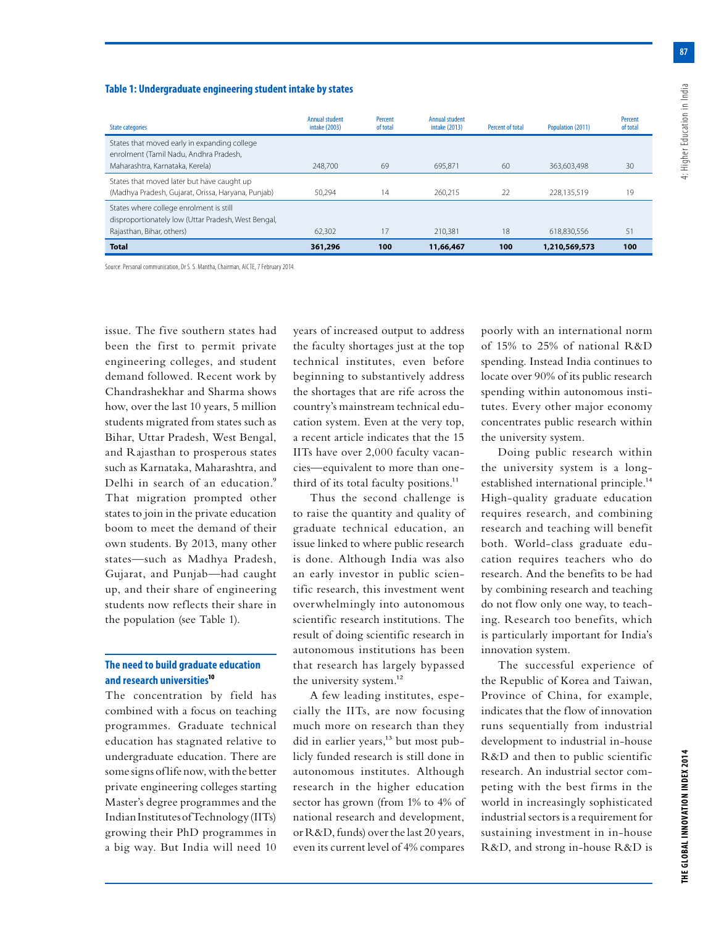**87**

# **Table 1: Undergraduate engineering student intake by states**

| <b>State categories</b>                                                   | <b>Annual student</b><br>intake (2003) | Percent<br>of total | <b>Annual student</b><br>intake (2013) | Percent of total | Population (2011) | Percent<br>of total |
|---------------------------------------------------------------------------|----------------------------------------|---------------------|----------------------------------------|------------------|-------------------|---------------------|
| States that moved early in expanding college                              |                                        |                     |                                        |                  |                   |                     |
| enrolment (Tamil Nadu, Andhra Pradesh,<br>Maharashtra, Karnataka, Kerela) | 248,700                                | 69                  | 695.871                                | 60               | 363,603,498       | 30                  |
| States that moved later but have caught up                                |                                        |                     |                                        |                  |                   |                     |
| (Madhya Pradesh, Gujarat, Orissa, Haryana, Punjab)                        | 50.294                                 | 14                  | 260.215                                | 22               | 228.135.519       | 19                  |
| States where college enrolment is still                                   |                                        |                     |                                        |                  |                   |                     |
| disproportionately low (Uttar Pradesh, West Bengal,                       |                                        |                     |                                        |                  |                   |                     |
| Rajasthan, Bihar, others)                                                 | 62,302                                 | 17                  | 210,381                                | 18               | 618.830.556       | 51                  |
| <b>Total</b>                                                              | 361,296                                | 100                 | 11,66,467                              | 100              | 1,210,569,573     | 100                 |

Source: Personal communication, Dr S. S. Mantha, Chairman, AICTE, 7 February 2014.

issue. The five southern states had been the first to permit private engineering colleges, and student demand followed. Recent work by Chandrashekhar and Sharma shows how, over the last 10 years, 5 million students migrated from states such as Bihar, Uttar Pradesh, West Bengal, and Rajasthan to prosperous states such as Karnataka, Maharashtra, and Delhi in search of an education.<sup>9</sup> That migration prompted other states to join in the private education boom to meet the demand of their own students. By 2013, many other states—such as Madhya Pradesh, Gujarat, and Punjab—had caught up, and their share of engineering students now reflects their share in the population (see Table 1).

# **The need to build graduate education and research universities10**

The concentration by field has combined with a focus on teaching programmes. Graduate technical education has stagnated relative to undergraduate education. There are some signs of life now, with the better private engineering colleges starting Master's degree programmes and the Indian Institutes of Technology (IITs) growing their PhD programmes in a big way. But India will need 10 years of increased output to address the faculty shortages just at the top technical institutes, even before beginning to substantively address the shortages that are rife across the country's mainstream technical education system. Even at the very top, a recent article indicates that the 15 IITs have over 2,000 faculty vacancies—equivalent to more than onethird of its total faculty positions.<sup>11</sup>

Thus the second challenge is to raise the quantity and quality of graduate technical education, an issue linked to where public research is done. Although India was also an early investor in public scientific research, this investment went overwhelmingly into autonomous scientific research institutions. The result of doing scientific research in autonomous institutions has been that research has largely bypassed the university system.<sup>12</sup>

A few leading institutes, especially the IITs, are now focusing much more on research than they did in earlier years,<sup>13</sup> but most publicly funded research is still done in autonomous institutes. Although research in the higher education sector has grown (from 1% to 4% of national research and development, or R&D, funds) over the last 20 years, even its current level of 4% compares

poorly with an international norm of 15% to 25% of national R&D spending. Instead India continues to locate over 90% of its public research spending within autonomous institutes. Every other major economy concentrates public research within the university system.

Doing public research within the university system is a longestablished international principle.14 High-quality graduate education requires research, and combining research and teaching will benefit both. World-class graduate education requires teachers who do research. And the benefits to be had by combining research and teaching do not flow only one way, to teaching. Research too benefits, which is particularly important for India's innovation system.

The successful experience of the Republic of Korea and Taiwan, Province of China, for example, indicates that the flow of innovation runs sequentially from industrial development to industrial in-house R&D and then to public scientific research. An industrial sector competing with the best firms in the world in increasingly sophisticated industrial sectors is a requirement for sustaining investment in in-house R&D, and strong in-house R&D is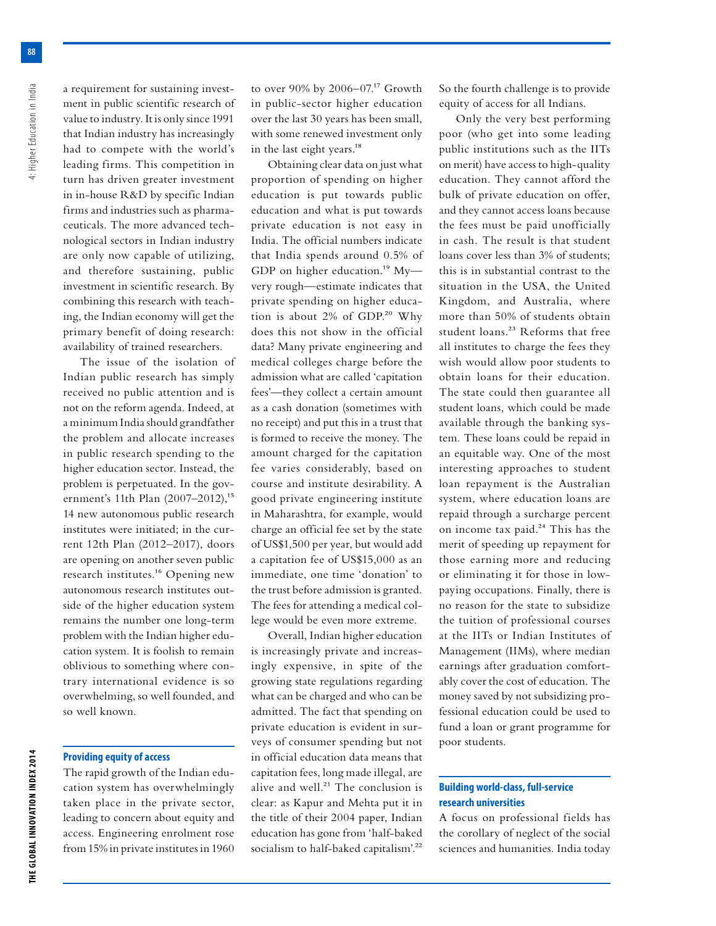a requirement for sustaining investment in public scientific research of value to industry. It is only since 1991 that Indian industry has increasingly had to compete with the world's leading firms. This competition in turn has driven greater investment in in-house R&D by specific Indian firms and industries such as pharmaceuticals. The more advanced technological sectors in Indian industry are only now capable of utilizing, and therefore sustaining, public investment in scientific research. By combining this research with teaching, the Indian economy will get the primary benefit of doing research: availability of trained researchers.

The issue of the isolation of Indian public research has simply received no public attention and is not on the reform agenda. Indeed, at a minimum India should grandfather the problem and allocate increases in public research spending to the higher education sector. Instead, the problem is perpetuated. In the government's 11th Plan (2007–2012),<sup>15</sup> 14 new autonomous public research institutes were initiated; in the current 12th Plan (2012–2017), doors are opening on another seven public research institutes.16 Opening new autonomous research institutes outside of the higher education system remains the number one long-term problem with the Indian higher education system. It is foolish to remain oblivious to something where contrary international evidence is so overwhelming, so well founded, and so well known.

# **Providing equity of access**

The rapid growth of the Indian education system has overwhelmingly taken place in the private sector, leading to concern about equity and access. Engineering enrolment rose from 15% in private institutes in 1960 to over  $90\%$  by  $2006-07.^{17}$  Growth in public-sector higher education over the last 30 years has been small, with some renewed investment only in the last eight years.<sup>18</sup>

Obtaining clear data on just what proportion of spending on higher education is put towards public education and what is put towards private education is not easy in India. The official numbers indicate that India spends around 0.5% of GDP on higher education.<sup>19</sup> Myvery rough—estimate indicates that private spending on higher education is about 2% of GDP.<sup>20</sup> Why does this not show in the official data? Many private engineering and medical colleges charge before the admission what are called 'capitation fees'—they collect a certain amount as a cash donation (sometimes with no receipt) and put this in a trust that is formed to receive the money. The amount charged for the capitation fee varies considerably, based on course and institute desirability. A good private engineering institute in Maharashtra, for example, would charge an official fee set by the state of US\$1,500 per year, but would add a capitation fee of US\$15,000 as an immediate, one time 'donation' to the trust before admission is granted. The fees for attending a medical college would be even more extreme.

Overall, Indian higher education is increasingly private and increasingly expensive, in spite of the growing state regulations regarding what can be charged and who can be admitted. The fact that spending on private education is evident in surveys of consumer spending but not in official education data means that capitation fees, long made illegal, are alive and well. $21$  The conclusion is clear: as Kapur and Mehta put it in the title of their 2004 paper, Indian education has gone from 'half-baked socialism to half-baked capitalism'.<sup>22</sup>

So the fourth challenge is to provide equity of access for all Indians.

Only the very best performing poor (who get into some leading public institutions such as the IITs on merit) have access to high-quality education. They cannot afford the bulk of private education on offer, and they cannot access loans because the fees must be paid unofficially in cash. The result is that student loans cover less than 3% of students; this is in substantial contrast to the situation in the USA, the United Kingdom, and Australia, where more than 50% of students obtain student loans.23 Reforms that free all institutes to charge the fees they wish would allow poor students to obtain loans for their education. The state could then guarantee all student loans, which could be made available through the banking system. These loans could be repaid in an equitable way. One of the most interesting approaches to student loan repayment is the Australian system, where education loans are repaid through a surcharge percent on income tax paid.<sup>24</sup> This has the merit of speeding up repayment for those earning more and reducing or eliminating it for those in lowpaying occupations. Finally, there is no reason for the state to subsidize the tuition of professional courses at the IITs or Indian Institutes of Management (IIMs), where median earnings after graduation comfortably cover the cost of education. The money saved by not subsidizing professional education could be used to fund a loan or grant programme for poor students.

# **Building world-class, full-service research universities**

A focus on professional fields has the corollary of neglect of the social sciences and humanities. India today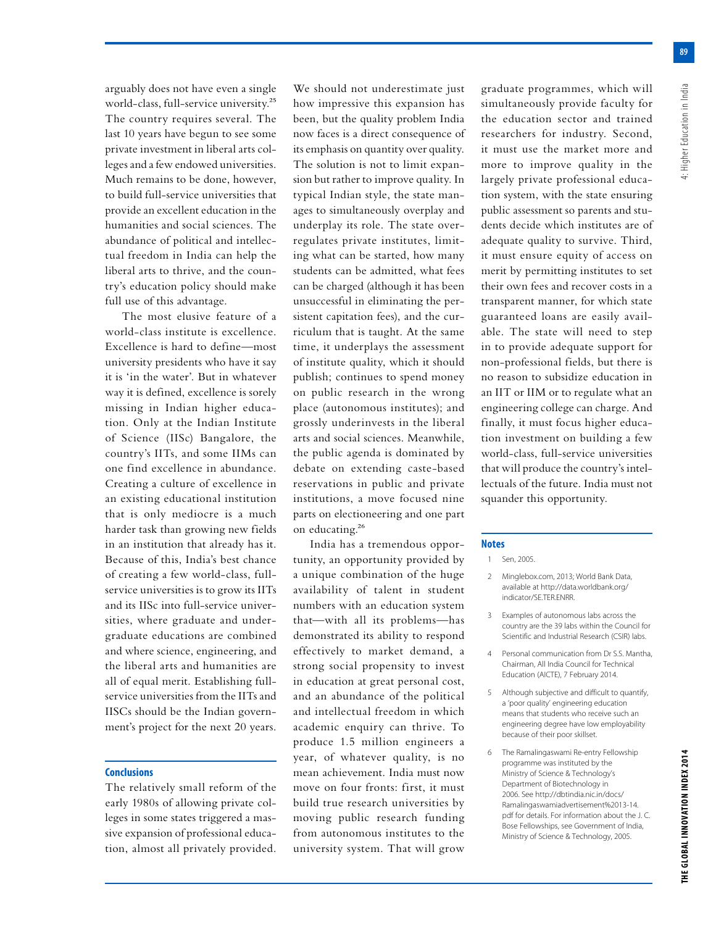**89**

arguably does not have even a single world-class, full-service university.25 The country requires several. The last 10 years have begun to see some private investment in liberal arts colleges and a few endowed universities. Much remains to be done, however, to build full-service universities that provide an excellent education in the humanities and social sciences. The abundance of political and intellectual freedom in India can help the liberal arts to thrive, and the country's education policy should make full use of this advantage.

The most elusive feature of a world-class institute is excellence. Excellence is hard to define—most university presidents who have it say it is 'in the water'. But in whatever way it is defined, excellence is sorely missing in Indian higher education. Only at the Indian Institute of Science (IISc) Bangalore, the country's IITs, and some IIMs can one find excellence in abundance. Creating a culture of excellence in an existing educational institution that is only mediocre is a much harder task than growing new fields in an institution that already has it. Because of this, India's best chance of creating a few world-class, fullservice universities is to grow its IITs and its IISc into full-service universities, where graduate and undergraduate educations are combined and where science, engineering, and the liberal arts and humanities are all of equal merit. Establishing fullservice universities from the IITs and IISCs should be the Indian government's project for the next 20 years.

### **Conclusions**

The relatively small reform of the early 1980s of allowing private colleges in some states triggered a massive expansion of professional education, almost all privately provided. We should not underestimate just how impressive this expansion has been, but the quality problem India now faces is a direct consequence of its emphasis on quantity over quality. The solution is not to limit expansion but rather to improve quality. In typical Indian style, the state manages to simultaneously overplay and underplay its role. The state overregulates private institutes, limiting what can be started, how many students can be admitted, what fees can be charged (although it has been unsuccessful in eliminating the persistent capitation fees), and the curriculum that is taught. At the same time, it underplays the assessment of institute quality, which it should publish; continues to spend money on public research in the wrong place (autonomous institutes); and grossly underinvests in the liberal arts and social sciences. Meanwhile, the public agenda is dominated by debate on extending caste-based reservations in public and private institutions, a move focused nine parts on electioneering and one part on educating.<sup>26</sup>

India has a tremendous opportunity, an opportunity provided by a unique combination of the huge availability of talent in student numbers with an education system that—with all its problems—has demonstrated its ability to respond effectively to market demand, a strong social propensity to invest in education at great personal cost, and an abundance of the political and intellectual freedom in which academic enquiry can thrive. To produce 1.5 million engineers a year, of whatever quality, is no mean achievement. India must now move on four fronts: first, it must build true research universities by moving public research funding from autonomous institutes to the university system. That will grow

graduate programmes, which will simultaneously provide faculty for the education sector and trained researchers for industry. Second, it must use the market more and more to improve quality in the largely private professional education system, with the state ensuring public assessment so parents and students decide which institutes are of adequate quality to survive. Third, it must ensure equity of access on merit by permitting institutes to set their own fees and recover costs in a transparent manner, for which state guaranteed loans are easily available. The state will need to step in to provide adequate support for non-professional fields, but there is no reason to subsidize education in an IIT or IIM or to regulate what an engineering college can charge. And finally, it must focus higher education investment on building a few world-class, full-service universities that will produce the country's intellectuals of the future. India must not squander this opportunity.

#### **Notes**

#### 1 Sen, 2005.

- 2 Minglebox.com, 2013; World Bank Data, available at http://data.worldbank.org/ indicator/SE.TER.ENRR.
- 3 Examples of autonomous labs across the country are the 39 labs within the Council for Scientific and Industrial Research (CSIR) labs.
- 4 Personal communication from Dr S.S. Mantha, Chairman, All India Council for Technical Education (AICTE), 7 February 2014.
- 5 Although subjective and difficult to quantify, a 'poor quality' engineering education means that students who receive such an engineering degree have low employability because of their poor skillset.
- The Ramalingaswami Re-entry Fellowship programme was instituted by the Ministry of Science & Technology's Department of Biotechnology in 2006. See http://dbtindia.nic.in/docs/ Ramalingaswamiadvertisement%2013-14. pdf for details. For information about the J. C. Bose Fellowships, see Government of India, Ministry of Science & Technology, 2005.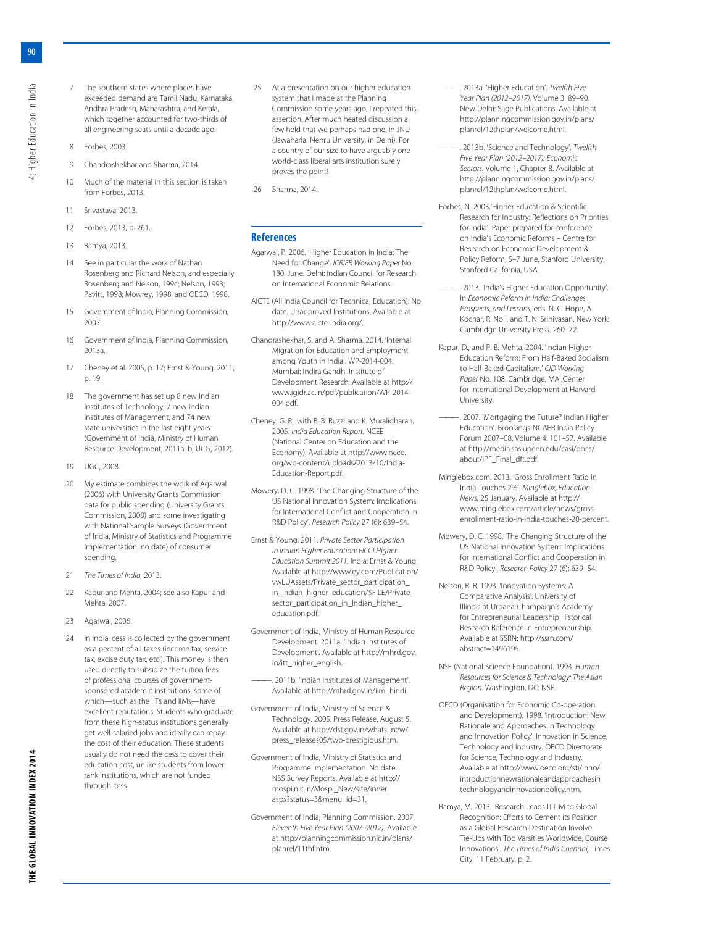- 7 The southern states where places have exceeded demand are Tamil Nadu, Karnataka, Andhra Pradesh, Maharashtra, and Kerala, which together accounted for two-thirds of all engineering seats until a decade ago.
- 8 Forbes, 2003.
- 9 Chandrashekhar and Sharma, 2014.
- 10 Much of the material in this section is taken from Forbes, 2013.
- 11 Srivastava, 2013.
- 12 Forbes, 2013, p. 261.
- 13 Ramya, 2013.
- 14 See in particular the work of Nathan Rosenberg and Richard Nelson, and especially Rosenberg and Nelson, 1994; Nelson, 1993; Pavitt, 1998; Mowrey, 1998; and OECD, 1998.
- 15 Government of India, Planning Commission, 2007.
- 16 Government of India, Planning Commission, 2013a.
- 17 Cheney et al. 2005, p. 17; Ernst & Young, 2011, p. 19.
- 18 The government has set up 8 new Indian Institutes of Technology, 7 new Indian Institutes of Management, and 74 new state universities in the last eight years (Government of India, Ministry of Human Resource Development, 2011a, b; UCG, 2012).
- 19 UGC, 2008.
- 20 My estimate combines the work of Agarwal (2006) with University Grants Commission data for public spending (University Grants Commission, 2008) and some investigating with National Sample Surveys (Government of India, Ministry of Statistics and Programme Implementation, no date) of consumer spending.
- 21 *The Times of India,* 2013.
- 22 Kapur and Mehta, 2004; see also Kapur and Mehta, 2007.
- 23 Agarwal, 2006.
- 24 In India, cess is collected by the government as a percent of all taxes (income tax, service tax, excise duty tax, etc.). This money is then used directly to subsidize the tuition fees of professional courses of governmentsponsored academic institutions, some of which—such as the IITs and IIMs—have excellent reputations. Students who graduate from these high-status institutions generally get well-salaried jobs and ideally can repay the cost of their education. These students usually do not need the cess to cover their education cost, unlike students from lowerrank institutions, which are not funded through cess.
- 25 At a presentation on our higher education system that I made at the Planning Commission some years ago, I repeated this assertion. After much heated discussion a few held that we perhaps had one, in JNU (Jawaharlal Nehru University, in Delhi). For a country of our size to have arguably one world-class liberal arts institution surely proves the point!
- 26 Sharma, 2014.

#### **References**

Agarwal, P. 2006. 'Higher Education in India: The Need for Change'. *ICRIER Working Paper* No. 180, June. Delhi: Indian Council for Research on International Economic Relations.

AICTE (All India Council for Technical Education). No date. Unapproved Institutions. Available at http://www.aicte-india.org/.

Chandrashekhar, S. and A. Sharma. 2014. 'Internal Migration for Education and Employment among Youth in India'. WP-2014-004. Mumbai: Indira Gandhi Institute of Development Research. Available at http:// www.igidr.ac.in/pdf/publication/WP-2014- 004.pdf.

Cheney, G. R., with B. B. Ruzzi and K. Muralidharan. 2005. *India Education Report.* NCEE (National Center on Education and the Economy). Available at http://www.ncee. org/wp-content/uploads/2013/10/India-Education-Report.pdf.

Mowery, D. C. 1998. 'The Changing Structure of the US National Innovation System: Implications for International Conflict and Cooperation in R&D Policy'. *Research Policy* 27 (6): 639–54.

Ernst & Young. 2011. *Private Sector Participation in Indian Higher Education: FICCI Higher Education Summit 2011.* India: Ernst & Young. Available at http://www.ey.com/Publication/ vwLUAssets/Private\_sector\_participation\_ in\_Indian\_higher\_education/\$FILE/Private\_ sector\_participation\_in\_Indian\_higher\_ education.pdf.

Government of India, Ministry of Human Resource Development. 2011a. 'Indian Institutes of Development'. Available at http://mhrd.gov. in/itt\_higher\_english.

———. 2011b. 'Indian Institutes of Management'. Available at http://mhrd.gov.in/iim\_hindi.

Government of India, Ministry of Science & Technology. 2005. Press Release, August 5. Available at http://dst.gov.in/whats\_new/ press\_releases05/two-prestigious.htm.

Government of India, Ministry of Statistics and Programme Implementation. No date. NSS Survey Reports. Available at http:// mospi.nic.in/Mospi\_New/site/inner. aspx?status=3&menu\_id=31.

Government of India, Planning Commission. 2007. *Eleventh Five Year Plan (2007–2012).* Available at http://planningcommission.nic.in/plans/ planrel/11thf.htm.

- ———. 2013a. 'Higher Education'. *Twelfth Five Year Plan (2012–2017),* Volume 3, 89–90. New Delhi: Sage Publications. Available at http://planningcommission.gov.in/plans/ planrel/12thplan/welcome.html.
- ———. 2013b. 'Science and Technology'. *Twelfth Five Year Plan (2012–2017): Economic Sectors.* Volume 1, Chapter 8. Available at http://planningcommission.gov.in/plans/ planrel/12thplan/welcome.html.
- Forbes, N. 2003.'Higher Education & Scientific Research for Industry: Reflections on Priorities for India'. Paper prepared for conference on India's Economic Reforms – Centre for Research on Economic Development & Policy Reform, 5-7 June, Stanford University, Stanford California, USA.
- -. 2013. 'India's Higher Education Opportunity'. In *Economic Reform in India: Challenges, Prospects, and Lessons,* eds. N. C. Hope, A. Kochar, R. Noll, and T. N. Srinivasan. New York: Cambridge University Press. 260–72.
- Kapur, D., and P. B. Mehta. 2004. 'Indian Higher Education Reform: From Half-Baked Socialism to Half-Baked Capitalism.' *CID Working Paper* No. 108. Cambridge, MA: Center for International Development at Harvard University.
- . 2007. 'Mortgaging the Future? Indian Higher Education'. Brookings-NCAER India Policy Forum 2007–08, Volume 4: 101–57. Available at http://media.sas.upenn.edu/casi/docs/ about/IPF\_Final\_dft.pdf.
- Minglebox.com. 2013. 'Gross Enrollment Ratio in India Touches 2%'. *Minglebox, Education News,* 25 January. Available at http:// www.minglebox.com/article/news/grossenrollment-ratio-in-india-touches-20-percent.
- Mowery, D. C. 1998. The Changing Structure of the US National Innovation System: Implications for International Conflict and Cooperation in R&D Policy'. *Research Policy* 27 (6): 639–54.
- Nelson, R. R. 1993. 'Innovation Systems: A Comparative Analysis'. University of Illinois at Urbana-Champaign's Academy for Entrepreneurial Leadership Historical Research Reference in Entrepreneurship. Available at SSRN: http://ssrn.com/ abstract=1496195.
- NSF (National Science Foundation). 1993. *Human Resources for Science & Technology: The Asian Region.* Washington, DC: NSF.
- OECD (Organisation for Economic Co-operation and Development). 1998. 'Introduction: New Rationale and Approaches in Technology and Innovation Policy'. Innovation in Science, Technology and Industry. OECD Directorate for Science, Technology and Industry. Available at http://www.oecd.org/sti/inno/ introductionnewrationaleandapproachesin technologyandinnovationpolicy.htm.
- Ramya, M. 2013. 'Research Leads ITT-M to Global Recognition: Efforts to Cement its Position as a Global Research Destination Involve Tie-Ups with Top Varsities Worldwide, Course Innovations'. *The Times of India Chennai,* Times City, 11 February, p. 2.